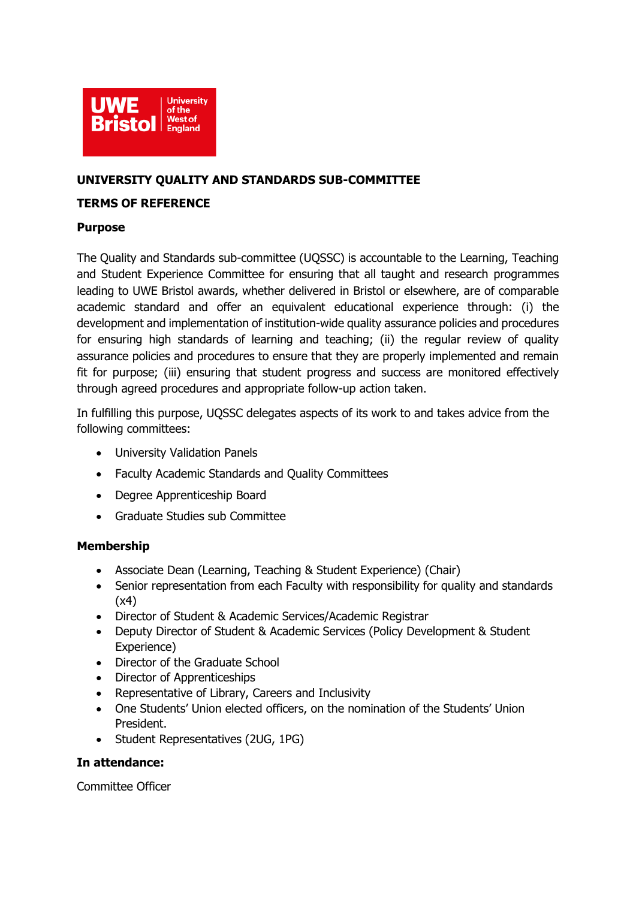

# **UNIVERSITY QUALITY AND STANDARDS SUB-COMMITTEE**

## **TERMS OF REFERENCE**

## **Purpose**

The Quality and Standards sub-committee (UQSSC) is accountable to the Learning, Teaching and Student Experience Committee for ensuring that all taught and research programmes leading to UWE Bristol awards, whether delivered in Bristol or elsewhere, are of comparable academic standard and offer an equivalent educational experience through: (i) the development and implementation of institution-wide quality assurance policies and procedures for ensuring high standards of learning and teaching; (ii) the regular review of quality assurance policies and procedures to ensure that they are properly implemented and remain fit for purpose; (iii) ensuring that student progress and success are monitored effectively through agreed procedures and appropriate follow-up action taken.

In fulfilling this purpose, UQSSC delegates aspects of its work to and takes advice from the following committees:

- University Validation Panels
- Faculty Academic Standards and Quality Committees
- Degree Apprenticeship Board
- Graduate Studies sub Committee

# **Membership**

- Associate Dean (Learning, Teaching & Student Experience) (Chair)
- Senior representation from each Faculty with responsibility for quality and standards (x4)
- Director of Student & Academic Services/Academic Registrar
- Deputy Director of Student & Academic Services (Policy Development & Student Experience)
- Director of the Graduate School
- Director of Apprenticeships
- Representative of Library, Careers and Inclusivity
- One Students' Union elected officers, on the nomination of the Students' Union President.
- Student Representatives (2UG, 1PG)

#### **In attendance:**

Committee Officer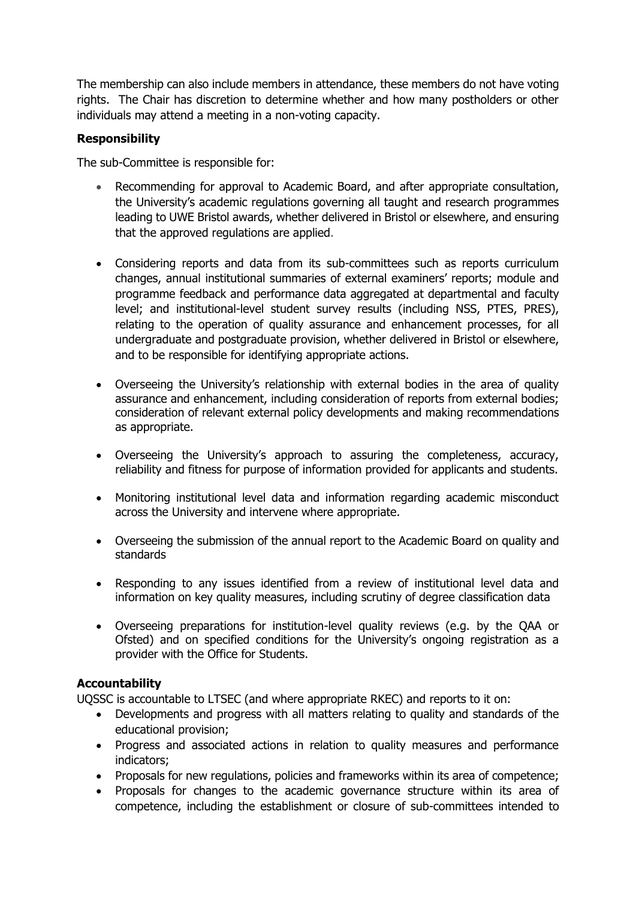The membership can also include members in attendance, these members do not have voting rights. The Chair has discretion to determine whether and how many postholders or other individuals may attend a meeting in a non-voting capacity.

# **Responsibility**

The sub-Committee is responsible for:

- Recommending for approval to Academic Board, and after appropriate consultation, the University's academic regulations governing all taught and research programmes leading to UWE Bristol awards, whether delivered in Bristol or elsewhere, and ensuring that the approved regulations are applied.
- Considering reports and data from its sub-committees such as reports curriculum changes, annual institutional summaries of external examiners' reports; module and programme feedback and performance data aggregated at departmental and faculty level; and institutional-level student survey results (including NSS, PTES, PRES), relating to the operation of quality assurance and enhancement processes, for all undergraduate and postgraduate provision, whether delivered in Bristol or elsewhere, and to be responsible for identifying appropriate actions.
- Overseeing the University's relationship with external bodies in the area of quality assurance and enhancement, including consideration of reports from external bodies; consideration of relevant external policy developments and making recommendations as appropriate.
- Overseeing the University's approach to assuring the completeness, accuracy, reliability and fitness for purpose of information provided for applicants and students.
- Monitoring institutional level data and information regarding academic misconduct across the University and intervene where appropriate.
- Overseeing the submission of the annual report to the Academic Board on quality and standards
- Responding to any issues identified from a review of institutional level data and information on key quality measures, including scrutiny of degree classification data
- Overseeing preparations for institution-level quality reviews (e.g. by the QAA or Ofsted) and on specified conditions for the University's ongoing registration as a provider with the Office for Students.

# **Accountability**

UQSSC is accountable to LTSEC (and where appropriate RKEC) and reports to it on:

- Developments and progress with all matters relating to quality and standards of the educational provision;
- Progress and associated actions in relation to quality measures and performance indicators;
- Proposals for new regulations, policies and frameworks within its area of competence;
- Proposals for changes to the academic governance structure within its area of competence, including the establishment or closure of sub-committees intended to